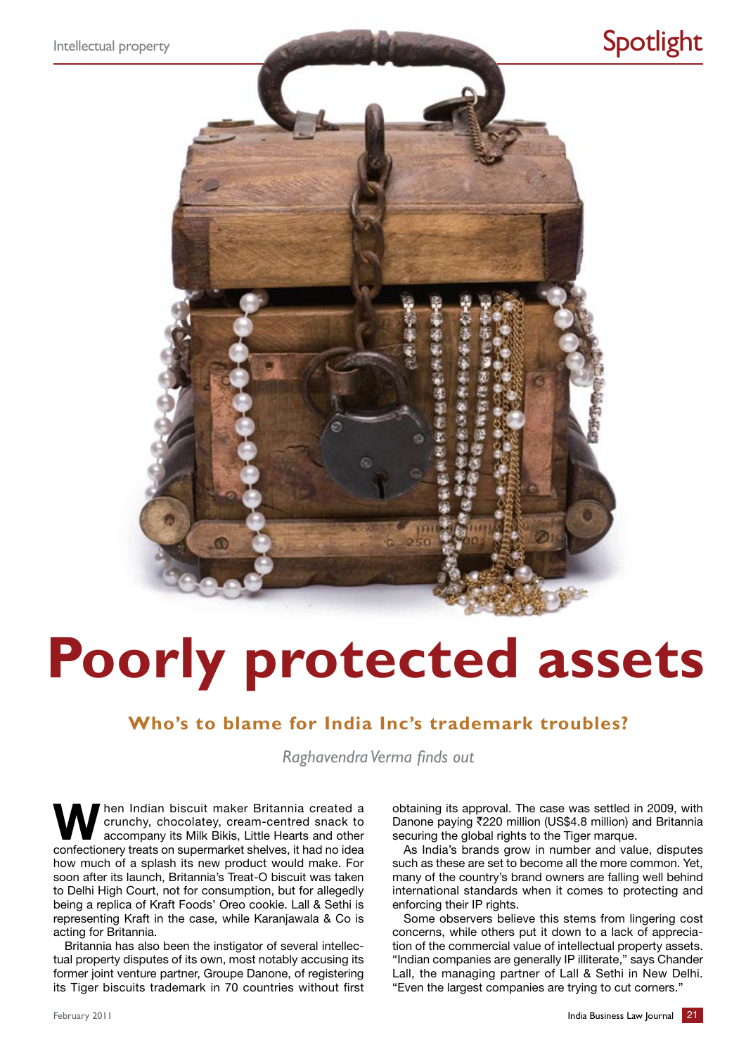

# **Poorly protected assets**

### **Who's to blame for India Inc's trademark troubles?**

*Raghavendra Verma finds out*

When Indian biscuit maker Britannia created a crunchy, chocolatey, cream-centred snack to accompany its Milk Bikis, Little Hearts and other crunchy, chocolatey, cream-centred snack to accompany its Milk Bikis, Little Hearts and other confectionery treats on supermarket shelves, it had no idea how much of a splash its new product would make. For soon after its launch, Britannia's Treat-O biscuit was taken to Delhi High Court, not for consumption, but for allegedly being a replica of Kraft Foods' Oreo cookie. Lall & Sethi is representing Kraft in the case, while Karanjawala & Co is acting for Britannia.

Britannia has also been the instigator of several intellectual property disputes of its own, most notably accusing its former joint venture partner, Groupe Danone, of registering its Tiger biscuits trademark in 70 countries without first obtaining its approval. The case was settled in 2009, with Danone paying ₹220 million (US\$4.8 million) and Britannia securing the global rights to the Tiger marque.

As India's brands grow in number and value, disputes such as these are set to become all the more common. Yet, many of the country's brand owners are falling well behind international standards when it comes to protecting and enforcing their IP rights.

Some observers believe this stems from lingering cost concerns, while others put it down to a lack of appreciation of the commercial value of intellectual property assets. "Indian companies are generally IP illiterate," says Chander Lall, the managing partner of Lall & Sethi in New Delhi. "Even the largest companies are trying to cut corners."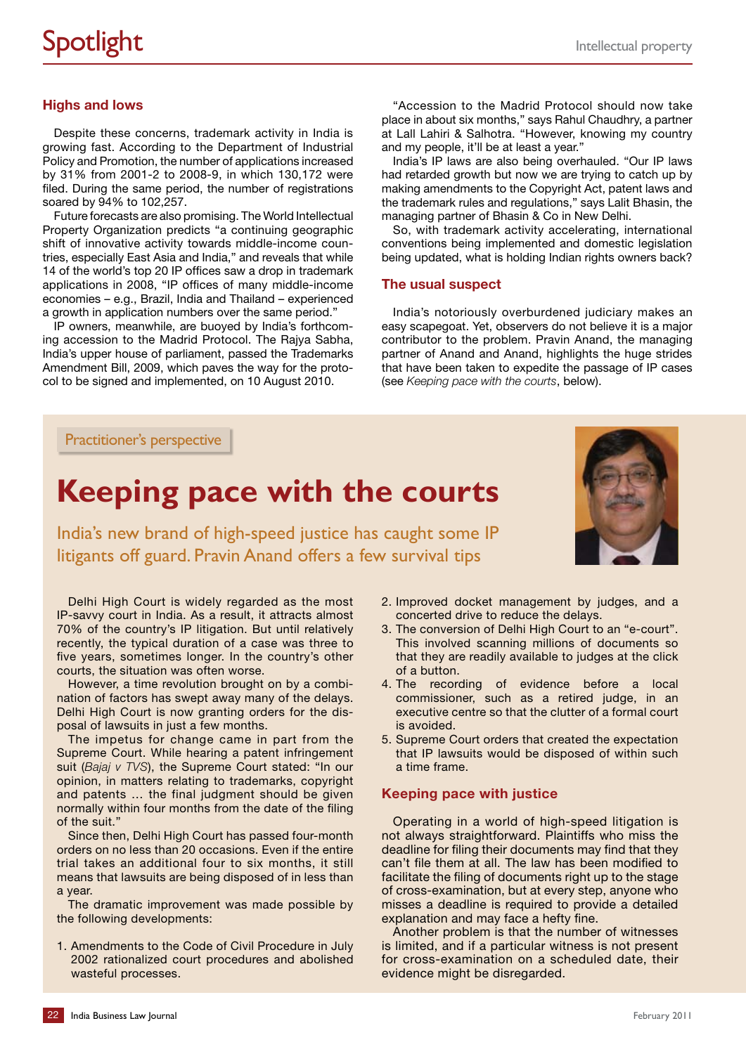### **Highs and lows**

Despite these concerns, trademark activity in India is growing fast. According to the Department of Industrial Policy and Promotion, the number of applications increased by 31% from 2001-2 to 2008-9, in which 130,172 were filed. During the same period, the number of registrations soared by 94% to 102,257.

Future forecasts are also promising. The World Intellectual Property Organization predicts "a continuing geographic shift of innovative activity towards middle-income countries, especially East Asia and India," and reveals that while 14 of the world's top 20 IP offices saw a drop in trademark applications in 2008, "IP offices of many middle-income economies – e.g., Brazil, India and Thailand – experienced a growth in application numbers over the same period."

IP owners, meanwhile, are buoyed by India's forthcoming accession to the Madrid Protocol. The Rajya Sabha, India's upper house of parliament, passed the Trademarks Amendment Bill, 2009, which paves the way for the protocol to be signed and implemented, on 10 August 2010.

"Accession to the Madrid Protocol should now take place in about six months," says Rahul Chaudhry, a partner at Lall Lahiri & Salhotra. "However, knowing my country and my people, it'll be at least a year."

India's IP laws are also being overhauled. "Our IP laws had retarded growth but now we are trying to catch up by making amendments to the Copyright Act, patent laws and the trademark rules and regulations," says Lalit Bhasin, the managing partner of Bhasin & Co in New Delhi.

So, with trademark activity accelerating, international conventions being implemented and domestic legislation being updated, what is holding Indian rights owners back?

### **The usual suspect**

India's notoriously overburdened judiciary makes an easy scapegoat. Yet, observers do not believe it is a major contributor to the problem. Pravin Anand, the managing partner of Anand and Anand, highlights the huge strides that have been taken to expedite the passage of IP cases (see *Keeping pace with the courts*, below).

Practitioner's perspective

## **Keeping pace with the courts**

India's new brand of high-speed justice has caught some IP litigants off guard. Pravin Anand offers a few survival tips

Delhi High Court is widely regarded as the most IP-savvy court in India. As a result, it attracts almost 70% of the country's IP litigation. But until relatively recently, the typical duration of a case was three to five years, sometimes longer. In the country's other courts, the situation was often worse.

However, a time revolution brought on by a combination of factors has swept away many of the delays. Delhi High Court is now granting orders for the disposal of lawsuits in just a few months.

The impetus for change came in part from the Supreme Court. While hearing a patent infringement suit (*Bajaj v TVS*), the Supreme Court stated: "In our opinion, in matters relating to trademarks, copyright and patents … the final judgment should be given normally within four months from the date of the filing of the suit."

Since then, Delhi High Court has passed four-month orders on no less than 20 occasions. Even if the entire trial takes an additional four to six months, it still means that lawsuits are being disposed of in less than a year.

The dramatic improvement was made possible by the following developments:

1. Amendments to the Code of Civil Procedure in July 2002 rationalized court procedures and abolished wasteful processes.

- 2. Improved docket management by judges, and a concerted drive to reduce the delays.
- 3. The conversion of Delhi High Court to an "e-court". This involved scanning millions of documents so that they are readily available to judges at the click of a button.
- 4. The recording of evidence before a local commissioner, such as a retired judge, in an executive centre so that the clutter of a formal court is avoided.
- 5. Supreme Court orders that created the expectation that IP lawsuits would be disposed of within such a time frame.

### **Keeping pace with justice**

Operating in a world of high-speed litigation is not always straightforward. Plaintiffs who miss the deadline for filing their documents may find that they can't file them at all. The law has been modified to facilitate the filing of documents right up to the stage of cross-examination, but at every step, anyone who misses a deadline is required to provide a detailed explanation and may face a hefty fine.

Another problem is that the number of witnesses is limited, and if a particular witness is not present for cross-examination on a scheduled date, their evidence might be disregarded.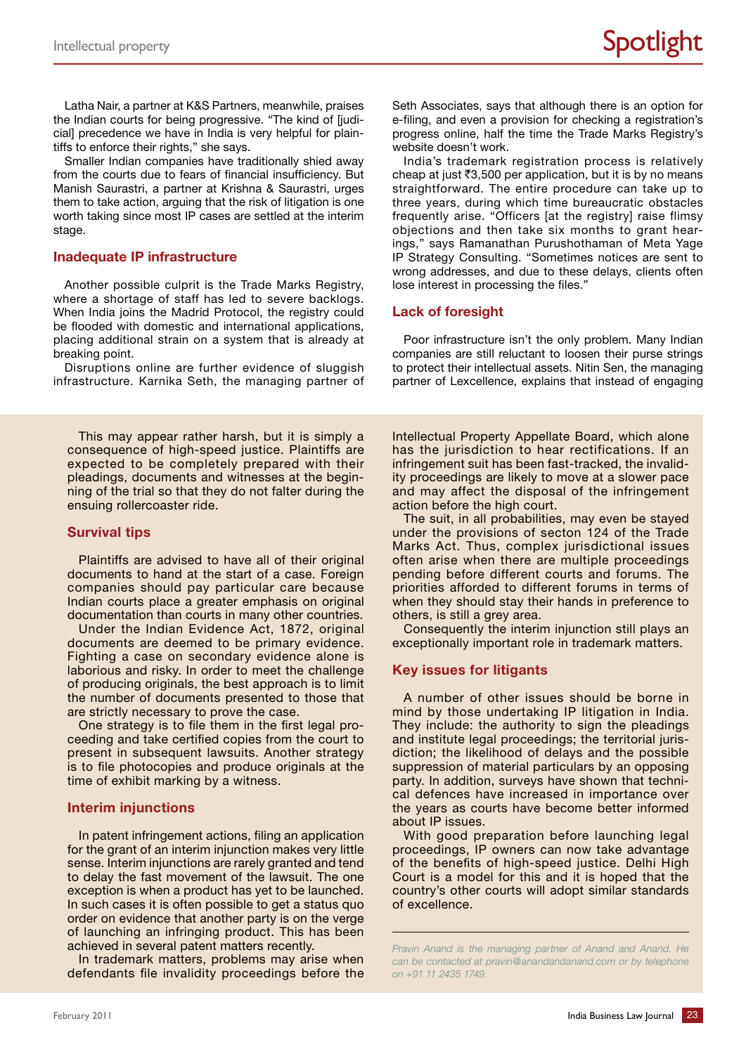Latha Nair, a partner at K&S Partners, meanwhile, praises the Indian courts for being progressive. "The kind of [judicial] precedence we have in India is very helpful for plaintiffs to enforce their rights," she says.

Smaller Indian companies have traditionally shied away from the courts due to fears of financial insufficiency. But Manish Saurastri, a partner at Krishna & Saurastri, urges them to take action, arguing that the risk of litigation is one worth taking since most IP cases are settled at the interim stage.

### **Inadequate IP infrastructure**

Another possible culprit is the Trade Marks Registry, where a shortage of staff has led to severe backlogs. When India joins the Madrid Protocol, the registry could be flooded with domestic and international applications, placing additional strain on a system that is already at breaking point.

Disruptions online are further evidence of sluggish infrastructure. Karnika Seth, the managing partner of

This may appear rather harsh, but it is simply a consequence of high-speed justice. Plaintiffs are expected to be completely prepared with their pleadings, documents and witnesses at the beginning of the trial so that they do not falter during the ensuing rollercoaster ride.

### **Survival tips**

Plaintiffs are advised to have all of their original documents to hand at the start of a case. Foreign companies should pay particular care because Indian courts place a greater emphasis on original documentation than courts in many other countries.

Under the Indian Evidence Act, 1872, original documents are deemed to be primary evidence. Fighting a case on secondary evidence alone is laborious and risky. In order to meet the challenge of producing originals, the best approach is to limit the number of documents presented to those that are strictly necessary to prove the case.

One strategy is to file them in the first legal proceeding and take certified copies from the court to present in subsequent lawsuits. Another strategy is to file photocopies and produce originals at the time of exhibit marking by a witness.

### **Interim injunctions**

In patent infringement actions, filing an application for the grant of an interim injunction makes very little sense. Interim injunctions are rarely granted and tend to delay the fast movement of the lawsuit. The one exception is when a product has yet to be launched. In such cases it is often possible to get a status quo order on evidence that another party is on the verge of launching an infringing product. This has been achieved in several patent matters recently.

In trademark matters, problems may arise when defendants file invalidity proceedings before the Seth Associates, says that although there is an option for e-filing, and even a provision for checking a registration's progress online, half the time the Trade Marks Registry's website doesn't work.

India's trademark registration process is relatively cheap at just  $\bar{z}3,500$  per application, but it is by no means straightforward. The entire procedure can take up to three years, during which time bureaucratic obstacles frequently arise. "Officers [at the registry] raise flimsy objections and then take six months to grant hearings," says Ramanathan Purushothaman of Meta Yage IP Strategy Consulting. "Sometimes notices are sent to wrong addresses, and due to these delays, clients often lose interest in processing the files."

### **Lack of foresight**

Poor infrastructure isn't the only problem. Many Indian companies are still reluctant to loosen their purse strings to protect their intellectual assets. Nitin Sen, the managing partner of Lexcellence, explains that instead of engaging

Intellectual Property Appellate Board, which alone has the jurisdiction to hear rectifications. If an infringement suit has been fast-tracked, the invalidity proceedings are likely to move at a slower pace and may affect the disposal of the infringement action before the high court.

The suit, in all probabilities, may even be stayed under the provisions of secton 124 of the Trade Marks Act. Thus, complex jurisdictional issues often arise when there are multiple proceedings pending before different courts and forums. The priorities afforded to different forums in terms of when they should stay their hands in preference to others, is still a grey area.

Consequently the interim injunction still plays an exceptionally important role in trademark matters.

### **Key issues for litigants**

A number of other issues should be borne in mind by those undertaking IP litigation in India. They include: the authority to sign the pleadings and institute legal proceedings; the territorial jurisdiction; the likelihood of delays and the possible suppression of material particulars by an opposing party. In addition, surveys have shown that technical defences have increased in importance over the years as courts have become better informed about IP issues.

With good preparation before launching legal proceedings, IP owners can now take advantage of the benefits of high-speed justice. Delhi High Court is a model for this and it is hoped that the country's other courts will adopt similar standards of excellence.

*Pravin Anand is the managing partner of Anand and Anand. He can be contacted at pravin@anandandanand.com or by telephone on +91 11 2435 1749.*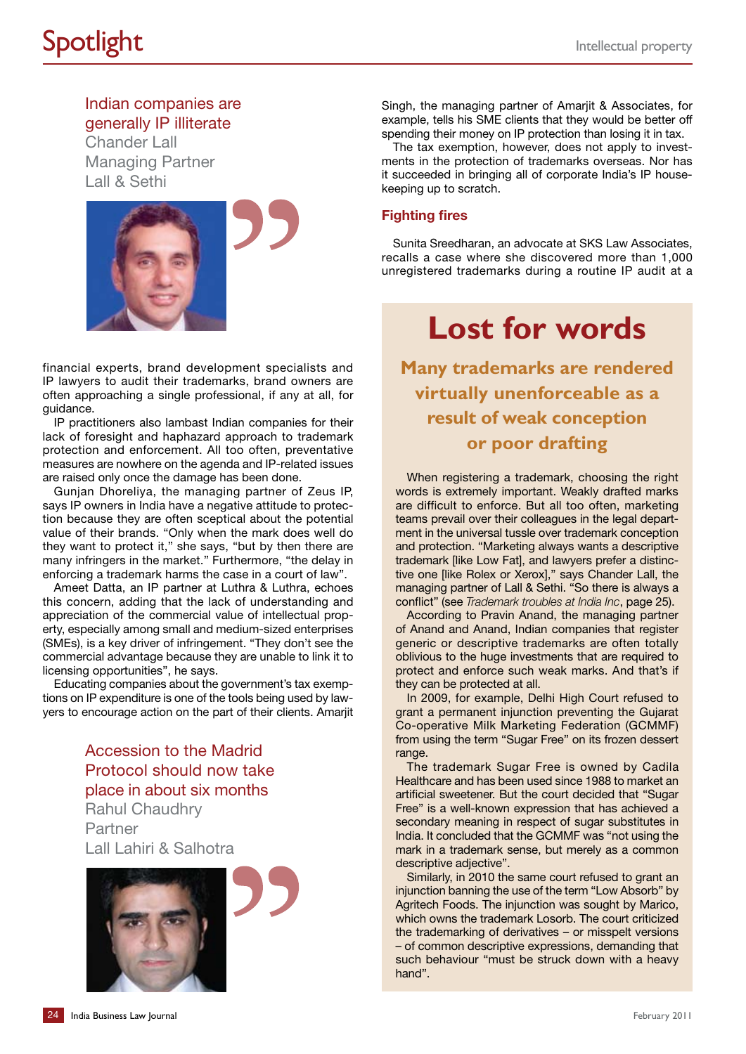Indian companies are generally IP illiterate

Chander Lall Managing Partner Lall & Sethi



financial experts, brand development specialists and IP lawyers to audit their trademarks, brand owners are often approaching a single professional, if any at all, for guidance.

IP practitioners also lambast Indian companies for their lack of foresight and haphazard approach to trademark protection and enforcement. All too often, preventative measures are nowhere on the agenda and IP-related issues are raised only once the damage has been done.

Gunjan Dhoreliya, the managing partner of Zeus IP, says IP owners in India have a negative attitude to protection because they are often sceptical about the potential value of their brands. "Only when the mark does well do they want to protect it," she says, "but by then there are many infringers in the market." Furthermore, "the delay in enforcing a trademark harms the case in a court of law".

Ameet Datta, an IP partner at Luthra & Luthra, echoes this concern, adding that the lack of understanding and appreciation of the commercial value of intellectual property, especially among small and medium-sized enterprises (SMEs), is a key driver of infringement. "They don't see the commercial advantage because they are unable to link it to licensing opportunities", he says.

Educating companies about the government's tax exemptions on IP expenditure is one of the tools being used by lawyers to encourage action on the part of their clients. Amarjit

> Accession to the Madrid Protocol should now take place in about six months Rahul Chaudhry

Partner Lall Lahiri & Salhotra



Singh, the managing partner of Amariit & Associates, for example, tells his SME clients that they would be better off spending their money on IP protection than losing it in tax.

The tax exemption, however, does not apply to investments in the protection of trademarks overseas. Nor has it succeeded in bringing all of corporate India's IP housekeeping up to scratch.

### **Fighting fires**

Sunita Sreedharan, an advocate at SKS Law Associates, recalls a case where she discovered more than 1,000 unregistered trademarks during a routine IP audit at a

# **Lost for words**

**Many trademarks are rendered virtually unenforceable as a result of weak conception or poor drafting**

When registering a trademark, choosing the right words is extremely important. Weakly drafted marks are difficult to enforce. But all too often, marketing teams prevail over their colleagues in the legal department in the universal tussle over trademark conception and protection. "Marketing always wants a descriptive trademark [like Low Fat], and lawyers prefer a distinctive one [like Rolex or Xerox]," says Chander Lall, the managing partner of Lall & Sethi. "So there is always a conflict" (see *Trademark troubles at India Inc*, page 25).

According to Pravin Anand, the managing partner of Anand and Anand, Indian companies that register generic or descriptive trademarks are often totally oblivious to the huge investments that are required to protect and enforce such weak marks. And that's if they can be protected at all.

In 2009, for example, Delhi High Court refused to grant a permanent injunction preventing the Gujarat Co-operative Milk Marketing Federation (GCMMF) from using the term "Sugar Free" on its frozen dessert range.

The trademark Sugar Free is owned by Cadila Healthcare and has been used since 1988 to market an artificial sweetener. But the court decided that "Sugar Free" is a well-known expression that has achieved a secondary meaning in respect of sugar substitutes in India. It concluded that the GCMMF was "not using the mark in a trademark sense, but merely as a common descriptive adjective".

Similarly, in 2010 the same court refused to grant an injunction banning the use of the term "Low Absorb" by Agritech Foods. The injunction was sought by Marico, which owns the trademark Losorb. The court criticized the trademarking of derivatives – or misspelt versions – of common descriptive expressions, demanding that such behaviour "must be struck down with a heavy hand".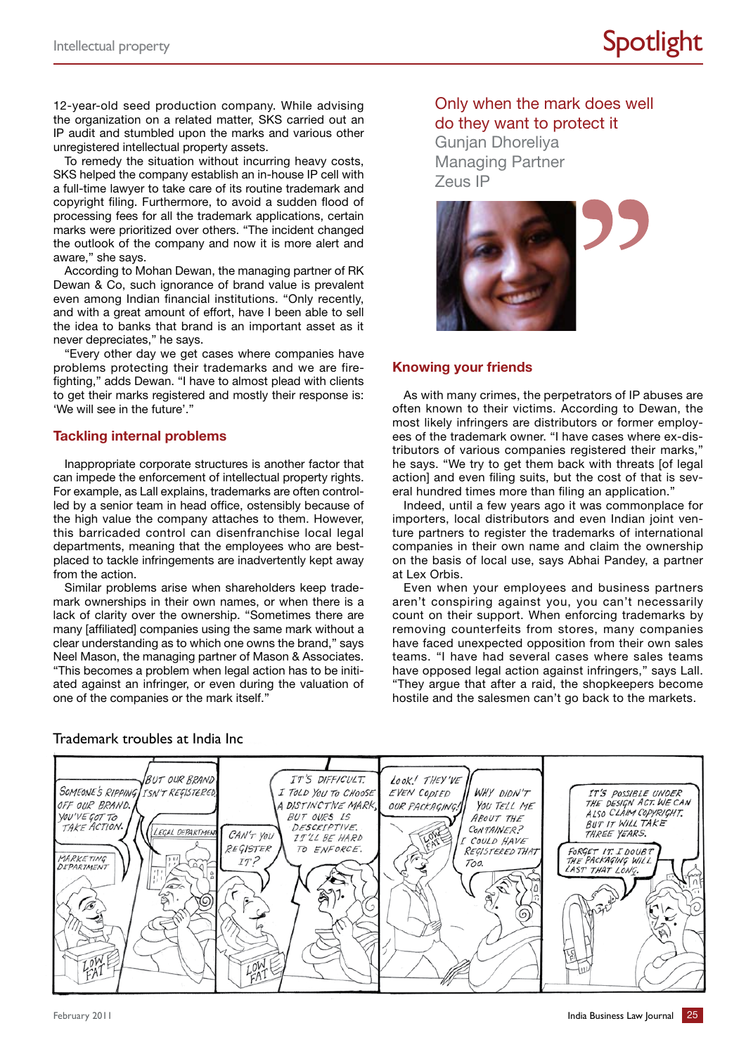12-year-old seed production company. While advising the organization on a related matter, SKS carried out an IP audit and stumbled upon the marks and various other unregistered intellectual property assets.

To remedy the situation without incurring heavy costs, SKS helped the company establish an in-house IP cell with a full-time lawyer to take care of its routine trademark and copyright filing. Furthermore, to avoid a sudden flood of processing fees for all the trademark applications, certain marks were prioritized over others. "The incident changed the outlook of the company and now it is more alert and aware," she says.

According to Mohan Dewan, the managing partner of RK Dewan & Co, such ignorance of brand value is prevalent even among Indian financial institutions. "Only recently, and with a great amount of effort, have I been able to sell the idea to banks that brand is an important asset as it never depreciates," he says.

"Every other day we get cases where companies have problems protecting their trademarks and we are firefighting," adds Dewan. "I have to almost plead with clients to get their marks registered and mostly their response is: 'We will see in the future'."

### **Tackling internal problems**

Inappropriate corporate structures is another factor that can impede the enforcement of intellectual property rights. For example, as Lall explains, trademarks are often controlled by a senior team in head office, ostensibly because of the high value the company attaches to them. However, this barricaded control can disenfranchise local legal departments, meaning that the employees who are bestplaced to tackle infringements are inadvertently kept away from the action.

Similar problems arise when shareholders keep trademark ownerships in their own names, or when there is a lack of clarity over the ownership. "Sometimes there are many [affiliated] companies using the same mark without a clear understanding as to which one owns the brand," says Neel Mason, the managing partner of Mason & Associates. "This becomes a problem when legal action has to be initiated against an infringer, or even during the valuation of one of the companies or the mark itself."

Only when the mark does well do they want to protect it Gunjan Dhoreliya

Managing Partner Zeus IP



### **Knowing your friends**

As with many crimes, the perpetrators of IP abuses are often known to their victims. According to Dewan, the most likely infringers are distributors or former employees of the trademark owner. "I have cases where ex-distributors of various companies registered their marks," he says. "We try to get them back with threats [of legal action] and even filing suits, but the cost of that is several hundred times more than filing an application.'

Indeed, until a few years ago it was commonplace for importers, local distributors and even Indian joint venture partners to register the trademarks of international companies in their own name and claim the ownership on the basis of local use, says Abhai Pandey, a partner at Lex Orbis.

Even when your employees and business partners aren't conspiring against you, you can't necessarily count on their support. When enforcing trademarks by removing counterfeits from stores, many companies have faced unexpected opposition from their own sales teams. "I have had several cases where sales teams have opposed legal action against infringers," says Lall. "They argue that after a raid, the shopkeepers become hostile and the salesmen can't go back to the markets.



### Trademark troubles at India Inc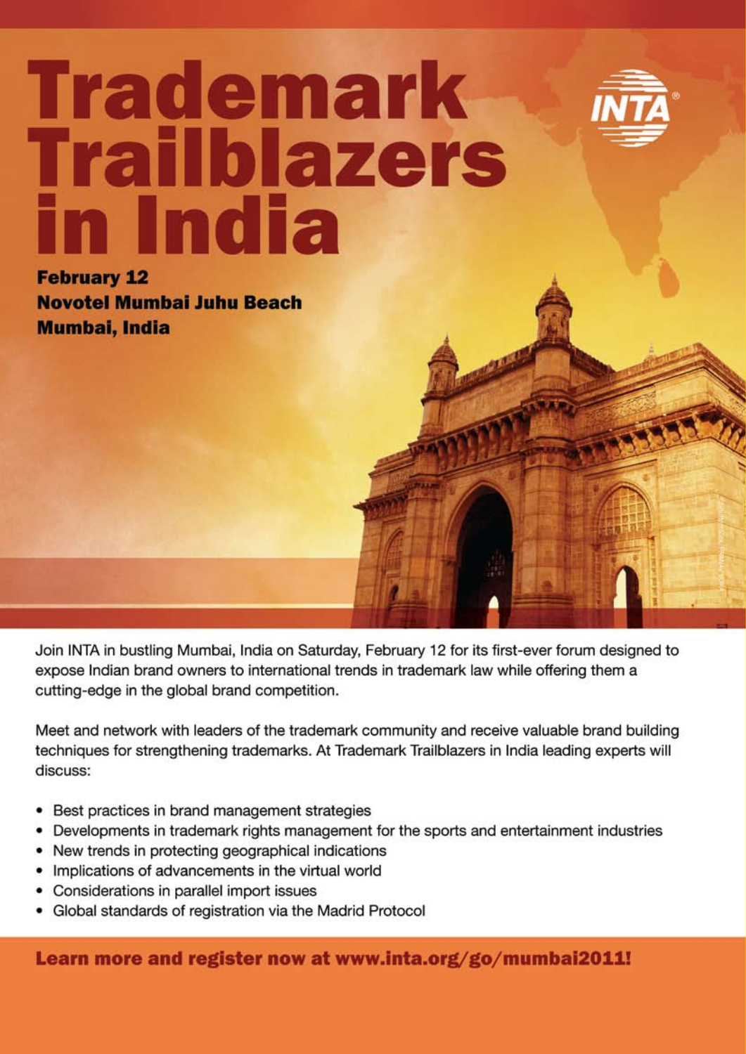

# Trademark<br>Trailblazers<br>in India

**February 12 Novotel Mumbai Juhu Beach Mumbai, India** 

Join INTA in bustling Mumbai, India on Saturday, February 12 for its first-ever forum designed to expose Indian brand owners to international trends in trademark law while offering them a cutting-edge in the global brand competition.

Meet and network with leaders of the trademark community and receive valuable brand building techniques for strengthening trademarks. At Trademark Trailblazers in India leading experts will discuss:

- Best practices in brand management strategies  $\bullet$
- Developments in trademark rights management for the sports and entertainment industries ٠
- New trends in protecting geographical indications  $\bullet$
- Implications of advancements in the virtual world
- Considerations in parallel import issues
- Global standards of registration via the Madrid Protocol

Learn more and register now at www.inta.org/go/mumbai2011!